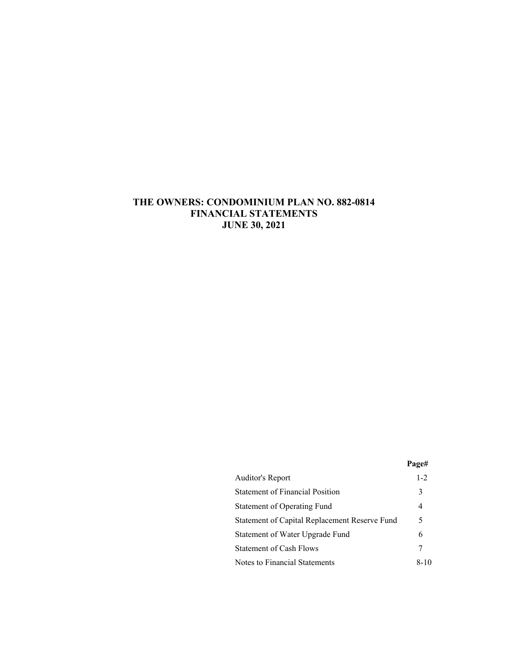# **THE OWNERS: CONDOMINIUM PLAN NO. 882-0814 FINANCIAL STATEMENTS JUNE 30, 2021**

|                                               | Page#   |
|-----------------------------------------------|---------|
| Auditor's Report                              | $1 - 2$ |
| <b>Statement of Financial Position</b>        | 3       |
| Statement of Operating Fund                   | 4       |
| Statement of Capital Replacement Reserve Fund | 5       |
| Statement of Water Upgrade Fund               | 6       |
| <b>Statement of Cash Flows</b>                |         |
| Notes to Financial Statements                 | 8-10    |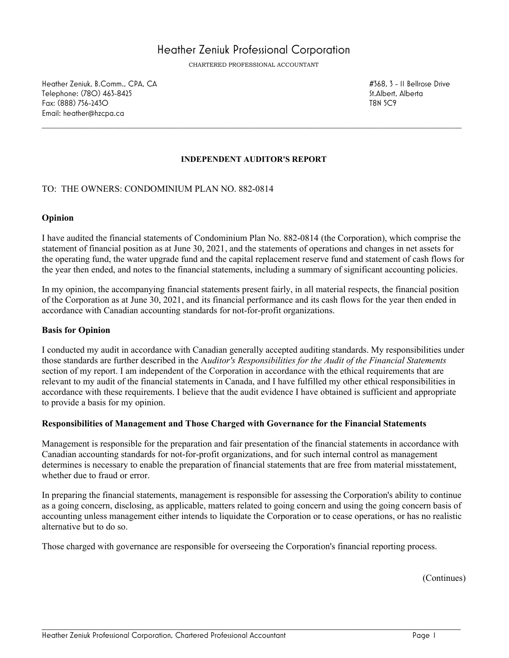# Heather Zeniuk Professional Corporation

CHARTERED PROFESSIONAL ACCOUNTANT

Heather Zeniuk, B.Comm., CPA, CA #368, 3 - 11 Bellrose Drive Telephone: (780) 463-8425 St.Alberta and the state of the state of the state of the St.Alberta and St.Alberta and St.Alberta and St.Alberta and St.Alberta and St.Alberta and St.Alberta and St.Alberta and St.Alberta and St. Fax: (888) 756-2430 T8N 5C9 Email: heather@hzcpa.ca

#### **INDEPENDENT AUDITOR'S REPORT**

 $\mathcal{L}_\mathcal{L} = \mathcal{L}_\mathcal{L} = \mathcal{L}_\mathcal{L} = \mathcal{L}_\mathcal{L} = \mathcal{L}_\mathcal{L} = \mathcal{L}_\mathcal{L} = \mathcal{L}_\mathcal{L} = \mathcal{L}_\mathcal{L} = \mathcal{L}_\mathcal{L} = \mathcal{L}_\mathcal{L} = \mathcal{L}_\mathcal{L} = \mathcal{L}_\mathcal{L} = \mathcal{L}_\mathcal{L} = \mathcal{L}_\mathcal{L} = \mathcal{L}_\mathcal{L} = \mathcal{L}_\mathcal{L} = \mathcal{L}_\mathcal{L}$ 

#### TO: THE OWNERS: CONDOMINIUM PLAN NO. 882-0814

#### **Opinion**

I have audited the financial statements of Condominium Plan No. 882-0814 (the Corporation), which comprise the statement of financial position as at June 30, 2021, and the statements of operations and changes in net assets for the operating fund, the water upgrade fund and the capital replacement reserve fund and statement of cash flows for the year then ended, and notes to the financial statements, including a summary of significant accounting policies.

In my opinion, the accompanying financial statements present fairly, in all material respects, the financial position of the Corporation as at June 30, 2021, and its financial performance and its cash flows for the year then ended in accordance with Canadian accounting standards for not-for-profit organizations.

#### **Basis for Opinion**

I conducted my audit in accordance with Canadian generally accepted auditing standards. My responsibilities under those standards are further described in the A*uditor's Responsibilities for the Audit of the Financial Statements* section of my report. I am independent of the Corporation in accordance with the ethical requirements that are relevant to my audit of the financial statements in Canada, and I have fulfilled my other ethical responsibilities in accordance with these requirements. I believe that the audit evidence I have obtained is sufficient and appropriate to provide a basis for my opinion.

#### **Responsibilities of Management and Those Charged with Governance for the Financial Statements**

Management is responsible for the preparation and fair presentation of the financial statements in accordance with Canadian accounting standards for not-for-profit organizations, and for such internal control as management determines is necessary to enable the preparation of financial statements that are free from material misstatement, whether due to fraud or error.

In preparing the financial statements, management is responsible for assessing the Corporation's ability to continue as a going concern, disclosing, as applicable, matters related to going concern and using the going concern basis of accounting unless management either intends to liquidate the Corporation or to cease operations, or has no realistic alternative but to do so.

Those charged with governance are responsible for overseeing the Corporation's financial reporting process.

(Continues)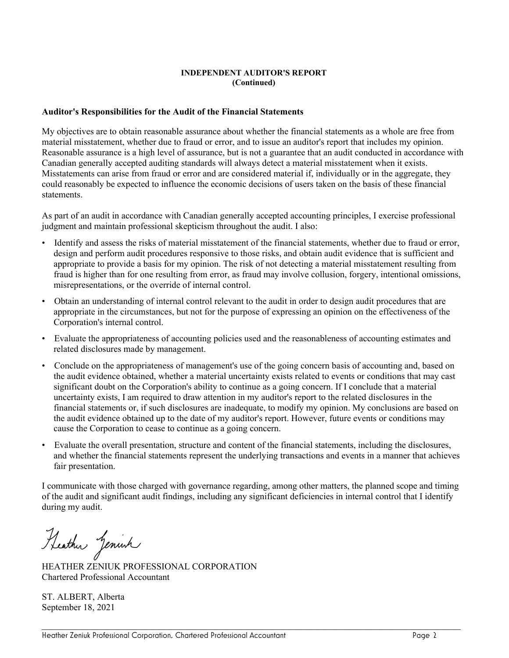#### **INDEPENDENT AUDITOR'S REPORT (Continued)**

#### **Auditor's Responsibilities for the Audit of the Financial Statements**

My objectives are to obtain reasonable assurance about whether the financial statements as a whole are free from material misstatement, whether due to fraud or error, and to issue an auditor's report that includes my opinion. Reasonable assurance is a high level of assurance, but is not a guarantee that an audit conducted in accordance with Canadian generally accepted auditing standards will always detect a material misstatement when it exists. Misstatements can arise from fraud or error and are considered material if, individually or in the aggregate, they could reasonably be expected to influence the economic decisions of users taken on the basis of these financial statements.

As part of an audit in accordance with Canadian generally accepted accounting principles, I exercise professional judgment and maintain professional skepticism throughout the audit. I also:

- Identify and assess the risks of material misstatement of the financial statements, whether due to fraud or error, design and perform audit procedures responsive to those risks, and obtain audit evidence that is sufficient and appropriate to provide a basis for my opinion. The risk of not detecting a material misstatement resulting from fraud is higher than for one resulting from error, as fraud may involve collusion, forgery, intentional omissions, misrepresentations, or the override of internal control.
- Obtain an understanding of internal control relevant to the audit in order to design audit procedures that are appropriate in the circumstances, but not for the purpose of expressing an opinion on the effectiveness of the Corporation's internal control.
- Evaluate the appropriateness of accounting policies used and the reasonableness of accounting estimates and related disclosures made by management.
- Conclude on the appropriateness of management's use of the going concern basis of accounting and, based on the audit evidence obtained, whether a material uncertainty exists related to events or conditions that may cast significant doubt on the Corporation's ability to continue as a going concern. If I conclude that a material uncertainty exists, I am required to draw attention in my auditor's report to the related disclosures in the financial statements or, if such disclosures are inadequate, to modify my opinion. My conclusions are based on the audit evidence obtained up to the date of my auditor's report. However, future events or conditions may cause the Corporation to cease to continue as a going concern.
- Evaluate the overall presentation, structure and content of the financial statements, including the disclosures, and whether the financial statements represent the underlying transactions and events in a manner that achieves fair presentation.

I communicate with those charged with governance regarding, among other matters, the planned scope and timing of the audit and significant audit findings, including any significant deficiencies in internal control that I identify during my audit.

Heather Jenish

HEATHER ZENIUK PROFESSIONAL CORPORATION Chartered Professional Accountant

ST. ALBERT, Alberta September 18, 2021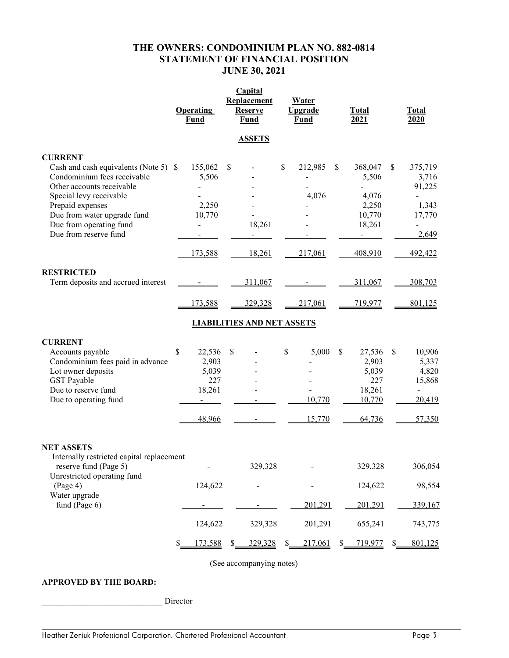## **THE OWNERS: CONDOMINIUM PLAN NO. 882-0814 STATEMENT OF FINANCIAL POSITION JUNE 30, 2021**

| <b>Operating</b><br>Fund                       | Replacement<br><b>Reserve</b><br><b>Fund</b>                                                                           | <u>Water</u><br><b>Upgrade</b><br><b>Fund</b>                             | <b>Total</b><br>2021                                                | <b>Total</b><br>2020                                                    |
|------------------------------------------------|------------------------------------------------------------------------------------------------------------------------|---------------------------------------------------------------------------|---------------------------------------------------------------------|-------------------------------------------------------------------------|
|                                                | <b>ASSETS</b>                                                                                                          |                                                                           |                                                                     |                                                                         |
| 155,062<br>5,506<br>2,250<br>10,770<br>173,588 | \$<br>18,261<br>18,261                                                                                                 | \$<br>212,985<br>4,076<br>217,061                                         | 368,047<br>5,506<br>4,076<br>2,250<br>10,770<br>18,261<br>408,910   | 375,719<br>\$<br>3,716<br>91,225<br>1,343<br>17,770<br>2,649<br>492,422 |
| 173,588                                        | 311,067<br>329,328                                                                                                     | 217,061                                                                   | 311,067<br>719,977                                                  | 308,703<br>801,125                                                      |
| \$                                             | $\mathcal{S}$                                                                                                          | \$<br>5,000<br>10,770<br>15,770                                           | \$<br>27,536<br>2,903<br>5,039<br>227<br>18,261<br>10,770<br>64,736 | \$<br>10,906<br>5,337<br>4,820<br>15,868<br>20,419<br>57,350            |
|                                                | 329,328<br>329,328                                                                                                     | 201,291<br>201,291                                                        | 329,328<br>124,622<br>201,291<br>655,241                            | 306,054<br>98,554<br>339,167<br>743,775                                 |
|                                                | Cash and cash equivalents (Note 5) \$<br>Condominium fees paid in advance<br>Internally restricted capital replacement | 22,536<br>2,903<br>5,039<br>227<br>18,261<br>48,966<br>124,622<br>124,622 | <b>LIABILITIES AND NET ASSETS</b>                                   | \$                                                                      |

(See accompanying notes)

### **APPROVED BY THE BOARD:**

\_\_\_\_\_\_\_\_\_\_\_\_\_\_\_\_\_\_\_\_\_\_\_\_\_\_\_\_\_ Director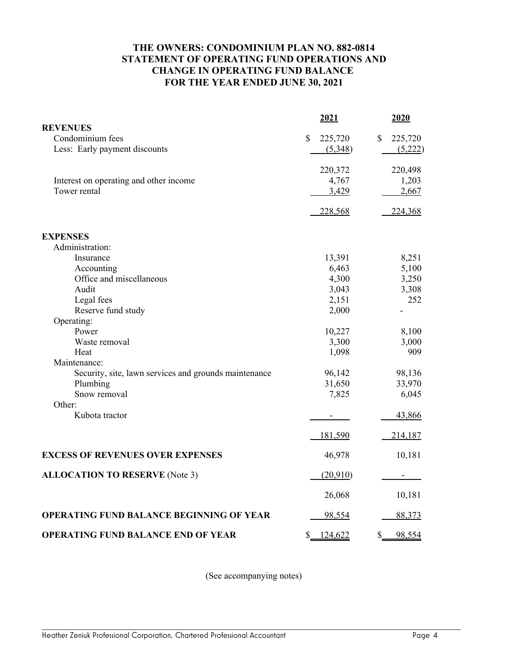# **THE OWNERS: CONDOMINIUM PLAN NO. 882-0814 STATEMENT OF OPERATING FUND OPERATIONS AND CHANGE IN OPERATING FUND BALANCE FOR THE YEAR ENDED JUNE 30, 2021**

|                                                       | 2021                     | 2020                     |
|-------------------------------------------------------|--------------------------|--------------------------|
| <b>REVENUES</b>                                       |                          |                          |
| Condominium fees                                      | $\mathbb{S}$<br>225,720  | $\mathbb{S}$<br>225,720  |
| Less: Early payment discounts                         | (5,348)                  | (5,222)                  |
|                                                       | 220,372                  | 220,498                  |
| Interest on operating and other income                | 4,767                    | 1,203                    |
| Tower rental                                          | 3,429                    | 2,667                    |
|                                                       | 228,568                  | 224,368                  |
| <b>EXPENSES</b>                                       |                          |                          |
| Administration:                                       |                          |                          |
| Insurance                                             | 13,391                   | 8,251                    |
| Accounting                                            | 6,463                    | 5,100                    |
| Office and miscellaneous                              | 4,300                    | 3,250                    |
| Audit                                                 | 3,043                    | 3,308                    |
| Legal fees                                            | 2,151                    | 252                      |
| Reserve fund study                                    | 2,000                    |                          |
| Operating:                                            |                          |                          |
| Power                                                 | 10,227                   | 8,100                    |
| Waste removal                                         | 3,300                    | 3,000                    |
| Heat                                                  | 1,098                    | 909                      |
| Maintenance:                                          |                          |                          |
| Security, site, lawn services and grounds maintenance | 96,142                   | 98,136                   |
| Plumbing                                              | 31,650                   | 33,970                   |
| Snow removal                                          | 7,825                    | 6,045                    |
| Other:                                                |                          |                          |
| Kubota tractor                                        | $\overline{\phantom{a}}$ | 43,866                   |
|                                                       | 181,590                  | 214,187                  |
| <b>EXCESS OF REVENUES OVER EXPENSES</b>               | 46,978                   | 10,181                   |
| <b>ALLOCATION TO RESERVE (Note 3)</b>                 | (20,910)                 | $\overline{\phantom{a}}$ |
|                                                       | 26,068                   | 10,181                   |
| <b>OPERATING FUND BALANCE BEGINNING OF YEAR</b>       | 98,554                   | 88,373                   |
| <b>OPERATING FUND BALANCE END OF YEAR</b>             | \$<br>124,622            | $\mathcal{S}$<br>98,554  |

(See accompanying notes)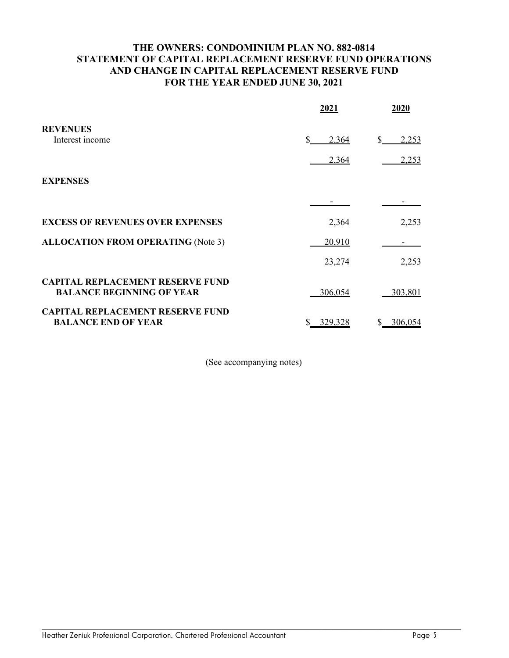# **THE OWNERS: CONDOMINIUM PLAN NO. 882-0814 STATEMENT OF CAPITAL REPLACEMENT RESERVE FUND OPERATIONS AND CHANGE IN CAPITAL REPLACEMENT RESERVE FUND FOR THE YEAR ENDED JUNE 30, 2021**

|                                                                             | 2021        | 2020         |
|-----------------------------------------------------------------------------|-------------|--------------|
| <b>REVENUES</b>                                                             |             |              |
| Interest income                                                             | \$<br>2,364 | \$.<br>2,253 |
|                                                                             | 2,364       | 2,253        |
| <b>EXPENSES</b>                                                             |             |              |
|                                                                             |             |              |
| <b>EXCESS OF REVENUES OVER EXPENSES</b>                                     | 2,364       | 2,253        |
| <b>ALLOCATION FROM OPERATING (Note 3)</b>                                   | 20,910      |              |
|                                                                             | 23,274      | 2,253        |
| <b>CAPITAL REPLACEMENT RESERVE FUND</b><br><b>BALANCE BEGINNING OF YEAR</b> | 306,054     | 303,801      |
| <b>CAPITAL REPLACEMENT RESERVE FUND</b><br><b>BALANCE END OF YEAR</b>       | 329,328     | 306,054      |

(See accompanying notes)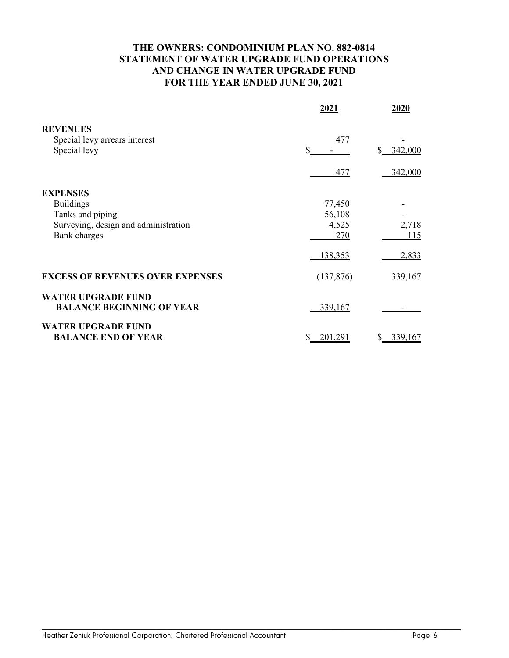# **THE OWNERS: CONDOMINIUM PLAN NO. 882-0814 STATEMENT OF WATER UPGRADE FUND OPERATIONS AND CHANGE IN WATER UPGRADE FUND FOR THE YEAR ENDED JUNE 30, 2021**

|                                                                                                 | 2021                             | 2020                    |
|-------------------------------------------------------------------------------------------------|----------------------------------|-------------------------|
| <b>REVENUES</b><br>Special levy arrears interest<br>Special levy                                | 477<br>\$                        | $\mathbb{S}$<br>342,000 |
| <b>EXPENSES</b><br><b>Buildings</b><br>Tanks and piping<br>Surveying, design and administration | 477<br>77,450<br>56,108<br>4,525 | 342,000<br>2,718        |
| <b>Bank</b> charges<br><b>EXCESS OF REVENUES OVER EXPENSES</b>                                  | 270<br>138,353<br>(137, 876)     | 115<br>2,833<br>339,167 |
| <b>WATER UPGRADE FUND</b><br><b>BALANCE BEGINNING OF YEAR</b>                                   | 339,167                          |                         |
| <b>WATER UPGRADE FUND</b><br><b>BALANCE END OF YEAR</b>                                         | \$<br>201,291                    | 339,167<br>S            |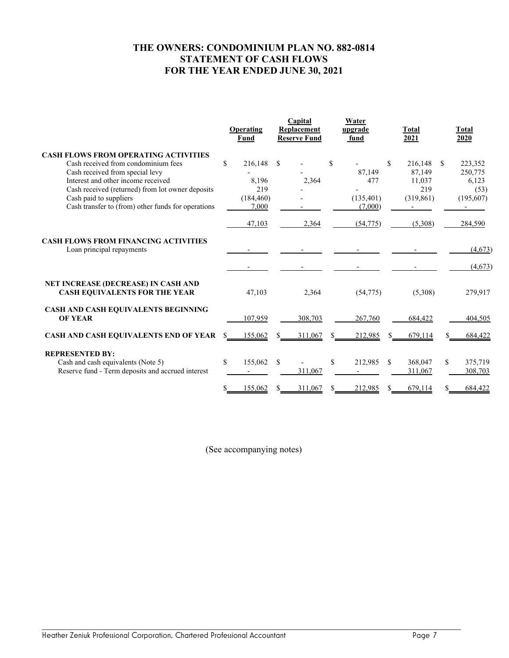# **THE OWNERS: CONDOMINIUM PLAN NO. 882-0814 STATEMENT OF CASH FLOWS FOR THE YEAR ENDED JUNE 30, 2021**

|                                                                                                                                                                                                                                                                                                 | Operating<br>Fund                                              | Capital<br>Replacement<br><b>Reserve Fund</b> | Water<br>upgrade<br>fund                     | <b>Total</b><br>2021                                    | Total<br>2020                                          |
|-------------------------------------------------------------------------------------------------------------------------------------------------------------------------------------------------------------------------------------------------------------------------------------------------|----------------------------------------------------------------|-----------------------------------------------|----------------------------------------------|---------------------------------------------------------|--------------------------------------------------------|
| <b>CASH FLOWS FROM OPERATING ACTIVITIES</b><br>Cash received from condominium fees<br>Cash received from special levy<br>Interest and other income received<br>Cash received (returned) from lot owner deposits<br>Cash paid to suppliers<br>Cash transfer to (from) other funds for operations | $\mathbb{S}$<br>216.148<br>8,196<br>219<br>(184, 460)<br>7,000 | <sup>\$</sup><br>2,364                        | \$<br>87,149<br>477<br>(135, 401)<br>(7,000) | \$.<br>216,148<br>87,149<br>11,037<br>219<br>(319, 861) | \$<br>223,352<br>250,775<br>6,123<br>(53)<br>(195,607) |
|                                                                                                                                                                                                                                                                                                 | 47,103                                                         | 2,364                                         | (54, 775)                                    | (5,308)                                                 | 284,590                                                |
| <b>CASH FLOWS FROM FINANCING ACTIVITIES</b><br>Loan principal repayments                                                                                                                                                                                                                        |                                                                |                                               |                                              |                                                         | (4,673)<br>(4,673)                                     |
| NET INCREASE (DECREASE) IN CASH AND<br><b>CASH EQUIVALENTS FOR THE YEAR</b>                                                                                                                                                                                                                     | 47,103                                                         | 2,364                                         | (54, 775)                                    | (5,308)                                                 | 279,917                                                |
| CASH AND CASH EQUIVALENTS BEGINNING<br><b>OF YEAR</b>                                                                                                                                                                                                                                           | 107,959                                                        | 308,703                                       | 267,760                                      | 684,422                                                 | 404,505                                                |
| <b>CASH AND CASH EQUIVALENTS END OF YEAR</b>                                                                                                                                                                                                                                                    | 155,062                                                        | 311,067                                       | 212,985                                      | 679.114                                                 | 684,422                                                |
| <b>REPRESENTED BY:</b><br>Cash and cash equivalents (Note 5)<br>Reserve fund - Term deposits and accrued interest                                                                                                                                                                               | \$<br>155,062                                                  | \$<br>311,067                                 | S.<br>212,985                                | 368,047<br>-S<br>311,067                                | \$<br>375,719<br>308,703                               |
|                                                                                                                                                                                                                                                                                                 | 155,062                                                        | 311,067                                       | 212,985                                      | 679,114                                                 | 684,422                                                |

(See accompanying notes)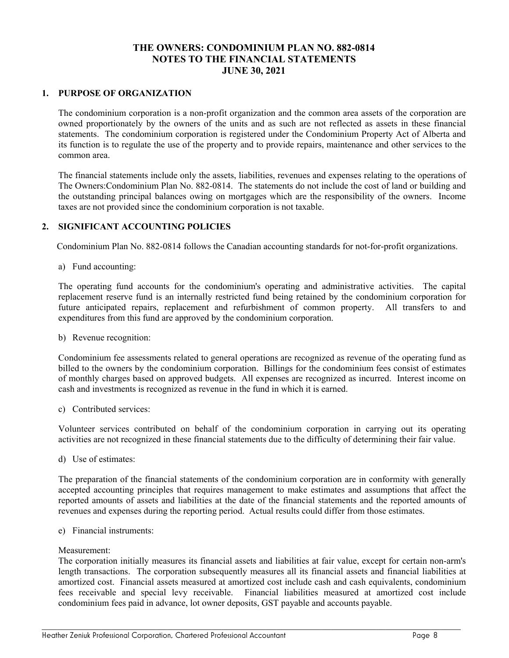# **THE OWNERS: CONDOMINIUM PLAN NO. 882-0814 NOTES TO THE FINANCIAL STATEMENTS JUNE 30, 2021**

### **1. PURPOSE OF ORGANIZATION**

The condominium corporation is a non-profit organization and the common area assets of the corporation are owned proportionately by the owners of the units and as such are not reflected as assets in these financial statements. The condominium corporation is registered under the Condominium Property Act of Alberta and its function is to regulate the use of the property and to provide repairs, maintenance and other services to the common area.

The financial statements include only the assets, liabilities, revenues and expenses relating to the operations of The Owners:Condominium Plan No. 882-0814. The statements do not include the cost of land or building and the outstanding principal balances owing on mortgages which are the responsibility of the owners. Income taxes are not provided since the condominium corporation is not taxable.

#### **2. SIGNIFICANT ACCOUNTING POLICIES**

Condominium Plan No. 882-0814 follows the Canadian accounting standards for not-for-profit organizations.

a) Fund accounting:

The operating fund accounts for the condominium's operating and administrative activities. The capital replacement reserve fund is an internally restricted fund being retained by the condominium corporation for future anticipated repairs, replacement and refurbishment of common property. All transfers to and expenditures from this fund are approved by the condominium corporation.

#### b) Revenue recognition:

Condominium fee assessments related to general operations are recognized as revenue of the operating fund as billed to the owners by the condominium corporation. Billings for the condominium fees consist of estimates of monthly charges based on approved budgets. All expenses are recognized as incurred. Interest income on cash and investments is recognized as revenue in the fund in which it is earned.

c) Contributed services:

Volunteer services contributed on behalf of the condominium corporation in carrying out its operating activities are not recognized in these financial statements due to the difficulty of determining their fair value.

d) Use of estimates:

The preparation of the financial statements of the condominium corporation are in conformity with generally accepted accounting principles that requires management to make estimates and assumptions that affect the reported amounts of assets and liabilities at the date of the financial statements and the reported amounts of revenues and expenses during the reporting period. Actual results could differ from those estimates.

e) Financial instruments:

#### Measurement:

The corporation initially measures its financial assets and liabilities at fair value, except for certain non-arm's length transactions. The corporation subsequently measures all its financial assets and financial liabilities at amortized cost. Financial assets measured at amortized cost include cash and cash equivalents, condominium fees receivable and special levy receivable. Financial liabilities measured at amortized cost include condominium fees paid in advance, lot owner deposits, GST payable and accounts payable.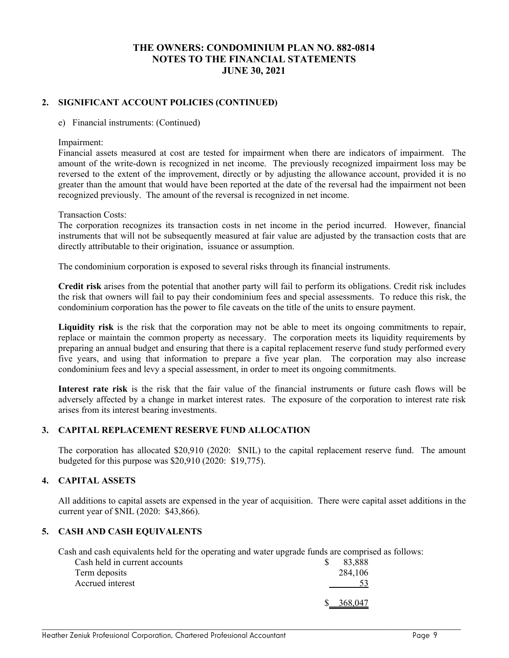### **THE OWNERS: CONDOMINIUM PLAN NO. 882-0814 NOTES TO THE FINANCIAL STATEMENTS JUNE 30, 2021**

### **2. SIGNIFICANT ACCOUNT POLICIES (CONTINUED)**

e) Financial instruments: (Continued)

Impairment:

Financial assets measured at cost are tested for impairment when there are indicators of impairment. The amount of the write-down is recognized in net income. The previously recognized impairment loss may be reversed to the extent of the improvement, directly or by adjusting the allowance account, provided it is no greater than the amount that would have been reported at the date of the reversal had the impairment not been recognized previously. The amount of the reversal is recognized in net income.

Transaction Costs:

The corporation recognizes its transaction costs in net income in the period incurred. However, financial instruments that will not be subsequently measured at fair value are adjusted by the transaction costs that are directly attributable to their origination, issuance or assumption.

The condominium corporation is exposed to several risks through its financial instruments.

**Credit risk** arises from the potential that another party will fail to perform its obligations. Credit risk includes the risk that owners will fail to pay their condominium fees and special assessments. To reduce this risk, the condominium corporation has the power to file caveats on the title of the units to ensure payment.

**Liquidity risk** is the risk that the corporation may not be able to meet its ongoing commitments to repair, replace or maintain the common property as necessary. The corporation meets its liquidity requirements by preparing an annual budget and ensuring that there is a capital replacement reserve fund study performed every five years, and using that information to prepare a five year plan. The corporation may also increase condominium fees and levy a special assessment, in order to meet its ongoing commitments.

**Interest rate risk** is the risk that the fair value of the financial instruments or future cash flows will be adversely affected by a change in market interest rates. The exposure of the corporation to interest rate risk arises from its interest bearing investments.

#### **3. CAPITAL REPLACEMENT RESERVE FUND ALLOCATION**

The corporation has allocated \$20,910 (2020: \$NIL) to the capital replacement reserve fund. The amount budgeted for this purpose was \$20,910 (2020: \$19,775).

#### **4. CAPITAL ASSETS**

All additions to capital assets are expensed in the year of acquisition. There were capital asset additions in the current year of \$NIL (2020: \$43,866).

#### **5. CASH AND CASH EQUIVALENTS**

Cash and cash equivalents held for the operating and water upgrade funds are comprised as follows:

| Cash held in current accounts | 83,888  |
|-------------------------------|---------|
| Term deposits                 | 284,106 |
| Accrued interest              |         |
|                               | 368,047 |